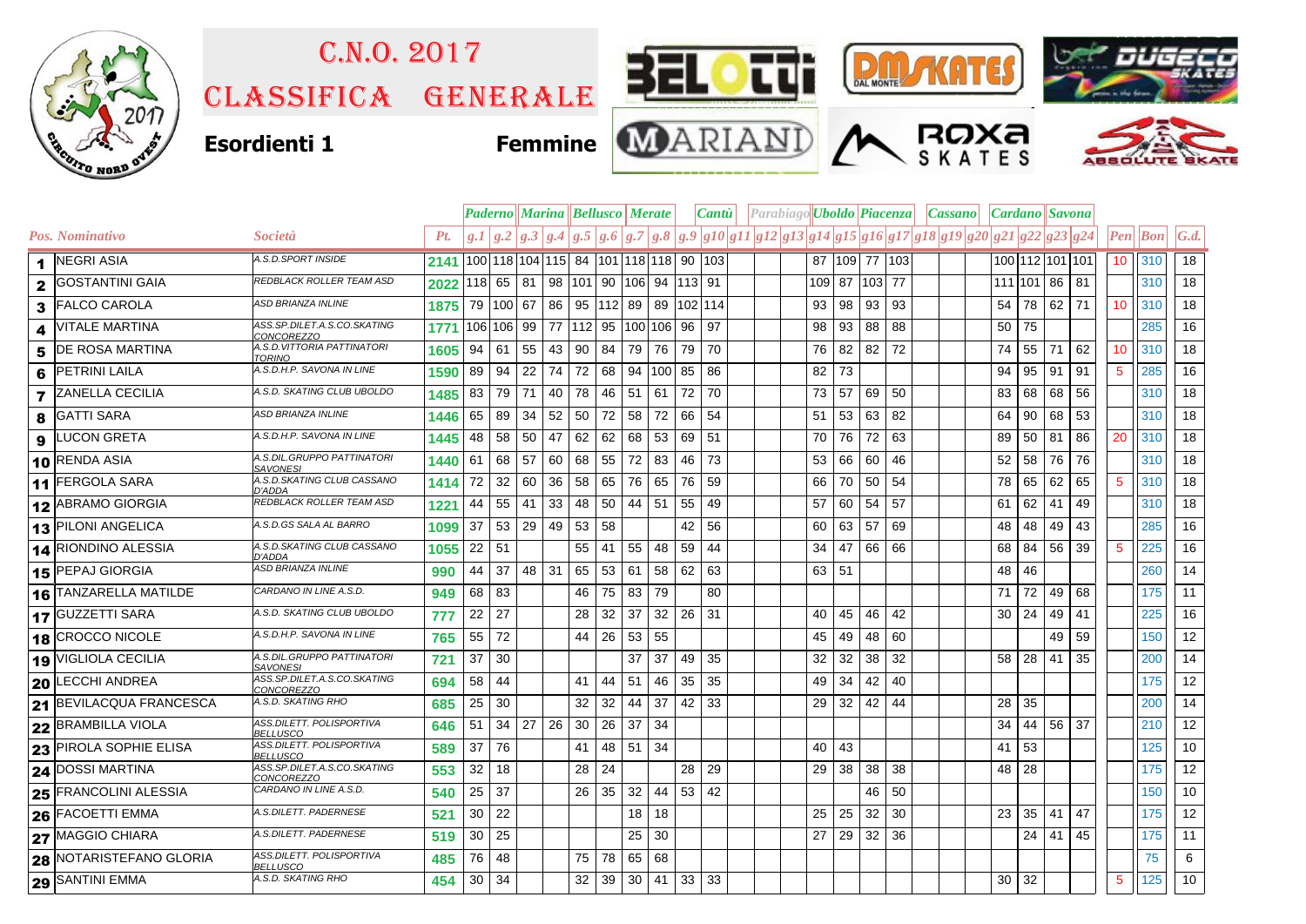

## Classifica generale C.n.o. 2017





**ROXA** 







|   |                         |                                               |      |                                           |     |       |     |                        | <b>Paderno    Marina    Bellusco    Merate</b> |       |                      |    | $\lfloor$ <i>Cantu</i> $\lfloor$ |  |  |  |                 | Parabiago <b>Uboldo Piacenza</b> |    |    |                                                                                                   | $ Cassano $ $ Cardano $ Savona |    |                 |    |                 |                           |                   |
|---|-------------------------|-----------------------------------------------|------|-------------------------------------------|-----|-------|-----|------------------------|------------------------------------------------|-------|----------------------|----|----------------------------------|--|--|--|-----------------|----------------------------------|----|----|---------------------------------------------------------------------------------------------------|--------------------------------|----|-----------------|----|-----------------|---------------------------|-------------------|
|   | Pos. Nominativo         | Società                                       | Pt.  |                                           |     |       |     |                        |                                                |       |                      |    |                                  |  |  |  |                 |                                  |    |    | $g.1 g.2 g.3 g.4 g.5 g.6 g.7 g.8 g.9 g10 g11 g12 g13 g14 g15 g16 g17 g18 g19 g20 g21 g22 g23 g24$ |                                |    |                 |    |                 | $\left  Pen\right $   Bon | $\mathcal{G}.d$ . |
|   | 1 NEGRI ASIA            | A.S.D.SPORT INSIDE                            | 2141 | 100 118 104 115  84  101 118 118  90  103 |     |       |     |                        |                                                |       |                      |    |                                  |  |  |  |                 | 87 109 77 103                    |    |    |                                                                                                   |                                |    | 100 112 101 101 |    | 10 <sup>°</sup> | 310                       | 18                |
|   | <b>GOSTANTINI GAIA</b>  | REDBLACK ROLLER TEAM ASD                      | 2022 | 118 65 81                                 |     |       | 98  | 101 90 106 94 113 91   |                                                |       |                      |    |                                  |  |  |  |                 | 109 87 103 77                    |    |    |                                                                                                   |                                |    | 111 101 86      | 81 |                 | 310                       | 18                |
| 3 | <b>FALCO CAROLA</b>     | ASD BRIANZA INLINE                            | 1875 | 79 100 67                                 |     |       | 86  |                        |                                                |       |                      |    | 95   112   89   89   102   114   |  |  |  | 93              | 98                               | 93 | 93 |                                                                                                   | 54                             | 78 | 62 71           |    | 10 <sup>°</sup> | 310                       | 18                |
| 4 | <b>VITALE MARTINA</b>   | ASS.SP.DILET.A.S.CO.SKATING<br>CONCOREZZO     | 1771 | 106 106 99                                |     |       | 77  | 112  95  100  106   96 |                                                |       |                      |    | 97                               |  |  |  | 98              | 93                               | 88 | 88 |                                                                                                   | 50                             | 75 |                 |    |                 | 285                       | 16                |
| 5 | DE ROSA MARTINA         | A.S.D.VITTORIA PATTINATORI<br>TORINO          | 1605 | 94                                        | 61  | 55    | 43  | 90                     | 84                                             | 79    | 76                   | 79 | 70                               |  |  |  | 76              | 82                               | 82 | 72 |                                                                                                   | 74                             | 55 | 71              | 62 | 10 <sup>°</sup> | 310                       | 18                |
| 6 | PETRINI LAILA           | A.S.D.H.P. SAVONA IN LINE                     | 1590 | 89                                        | 94  | 22    | 74  | 72                     | 68                                             |       | 94 100 85            |    | 86                               |  |  |  | 82              | 73                               |    |    |                                                                                                   | 94                             | 95 | 91              | 91 | $5^{\circ}$     | 285                       | 16                |
|   | <b>ZANELLA CECILIA</b>  | A.S.D. SKATING CLUB UBOLDO                    | 1485 | 83                                        | 79  | 71    | 40  | 78                     | 46                                             | 51    | 61                   | 72 | 70                               |  |  |  | 73              | 57                               | 69 | 50 |                                                                                                   | 83                             | 68 | 68              | 56 |                 | 310                       | 18                |
| 8 | <b>GATTI SARA</b>       | ASD BRIANZA INLINE                            | 1446 | 65                                        | 89  | 34    | 52  | 50                     | 72                                             | 58    | 72                   | 66 | -54                              |  |  |  | 51              | 53                               | 63 | 82 |                                                                                                   | 64                             | 90 | 68              | 53 |                 | 310                       | 18                |
| 9 | <b>LUCON GRETA</b>      | A.S.D.H.P. SAVONA IN LINE                     | 1445 | 48                                        | 58  | 50    | 47  | 62                     | 62                                             | 68    | 53                   | 69 | -51                              |  |  |  | 70              | 76                               | 72 | 63 |                                                                                                   | 89                             | 50 | 81              | 86 | 20              | 310                       | 18                |
|   | 10 RENDA ASIA           | A.S.DIL.GRUPPO PATTINATORI<br>SAVONESI        | 1440 | 61                                        | 68  | 57    | 60  | 68                     | 55                                             | 72    | 83                   | 46 | 73                               |  |  |  | 53              | 66                               | 60 | 46 |                                                                                                   | 52                             | 58 | 76              | 76 |                 | 310                       | 18                |
|   | 11 FERGOLA SARA         | A.S.D.SKATING CLUB CASSANO<br>D'ADDA          | 1414 | 72                                        | 32  | 60    | 36  | 58                     | 65                                             | 76    | 65                   | 76 | 59                               |  |  |  | 66              | 70                               | 50 | 54 |                                                                                                   | 78                             | 65 | 62              | 65 | 5               | 310                       | 18                |
|   | 12 ABRAMO GIORGIA       | REDBLACK ROLLER TEAM ASD                      | 1221 | 44                                        | 55  | 41    | 33  | 48                     | 50                                             |       | 44 51                | 55 | 49                               |  |  |  | 57              | 60                               | 54 | 57 |                                                                                                   | 61                             | 62 | 41              | 49 |                 | 310                       | 18                |
|   | 13 PILONI ANGELICA      | A.S.D.GS SALA AL BARRO                        | 1099 | 37                                        | 53  | 29    | 49  | 53                     | 58                                             |       |                      | 42 | 56                               |  |  |  |                 | 60 63                            | 57 | 69 |                                                                                                   | 48                             | 48 | 49              | 43 |                 | 285                       | 16                |
|   | 14 RIONDINO ALESSIA     | A.S.D.SKATING CLUB CASSANO<br>D'ADDA          | 1055 | 22                                        | -51 |       |     | 55                     | 41                                             | 55    | 48                   | 59 | 44                               |  |  |  | 34              | 47                               | 66 | 66 |                                                                                                   | 68                             | 84 | 56              | 39 | 5               | 225                       | 16                |
|   | 15 PEPAJ GIORGIA        | ASD BRIANZA INLINE                            | 990  | 44                                        | 37  | 48 31 |     | 65                     | 53                                             | 61    | 58                   | 62 | 63                               |  |  |  | 63 51           |                                  |    |    |                                                                                                   | 48                             | 46 |                 |    |                 | 260                       | 14                |
|   | 16 TANZARELLA MATILDE   | CARDANO IN LINE A.S.D.                        | 949  | 68                                        | 83  |       |     | 46                     | 75                                             | 83    | 79                   |    | 80                               |  |  |  |                 |                                  |    |    |                                                                                                   | 71                             | 72 | 49              | 68 |                 | 175                       | 11                |
|   | 17 GUZZETTI SARA        | A.S.D. SKATING CLUB UBOLDO                    | 777  | 22                                        | 27  |       |     | 28                     | 32                                             | 37    | 32                   | 26 | -31                              |  |  |  | 40              | 45                               | 46 | 42 |                                                                                                   | 30                             | 24 | 49              | 41 |                 | 225                       | 16                |
|   | 18 CROCCO NICOLE        | A.S.D.H.P. SAVONA IN LINE                     | 765  | 55                                        | 72  |       |     | 44                     | 26                                             | 53    | 55                   |    |                                  |  |  |  | 45              | 49                               | 48 | 60 |                                                                                                   |                                |    | 49              | 59 |                 | 150                       | 12                |
|   | 19 VIGLIOLA CECILIA     | A.S.DIL.GRUPPO PATTINATORI<br><b>SAVONESI</b> | 721  | 37                                        | 30  |       |     |                        |                                                | 37    | 37                   | 49 | 35                               |  |  |  | 32              | 32                               | 38 | 32 |                                                                                                   | 58                             | 28 | 41              | 35 |                 | 200                       | 14                |
|   | <b>20 LECCHI ANDREA</b> | ASS.SP.DILET.A.S.CO.SKATING<br>CONCOREZZO     | 694  | 58                                        | 44  |       |     | 41                     | 44                                             | -51   | 46                   | 35 | 35                               |  |  |  | 49              | 34                               | 42 | 40 |                                                                                                   |                                |    |                 |    |                 | 175                       | 12                |
|   | 21 BEVILACQUA FRANCESCA | A.S.D. SKATING RHO                            | 685  | 25                                        | 30  |       |     | 32                     | 32                                             | 44    | 37                   | 42 | 33                               |  |  |  | 29 <sub>1</sub> | 32                               | 42 | 44 |                                                                                                   | 28                             | 35 |                 |    |                 | 200                       | 14                |
|   | 22 BRAMBILLA VIOLA      | ASS.DILETT. POLISPORTIVA<br><b>BELLUSCO</b>   | 646  | 51                                        | 34  | 27    | -26 | 30                     | 26                                             | 37    | -34                  |    |                                  |  |  |  |                 |                                  |    |    |                                                                                                   | 34                             | 44 | 56              | 37 |                 | 210                       | 12                |
|   | 23 PIROLA SOPHIE ELISA  | ASS.DILETT. POLISPORTIVA<br>BELLUSCO          | 589  | 37                                        | 76  |       |     | 41                     |                                                | 48 51 | 34                   |    |                                  |  |  |  | 40 l            | 43                               |    |    |                                                                                                   | 41                             | 53 |                 |    |                 | 125                       | 10                |
|   | <b>24 DOSSI MARTINA</b> | ASS.SP.DILET.A.S.CO.SKATING<br>CONCOREZZO     | 553  | 32                                        | 18  |       |     | 28                     | 24                                             |       |                      | 28 | -29                              |  |  |  | 29 <sub>1</sub> | 38                               | 38 | 38 |                                                                                                   | 48                             | 28 |                 |    |                 | 175                       | 12                |
|   | 25 FRANCOLINI ALESSIA   | CARDANO IN LINE A.S.D.                        | 540  | 25                                        | 37  |       |     | 26                     | 35                                             | 32    |                      |    | 44 53 42                         |  |  |  |                 |                                  | 46 | 50 |                                                                                                   |                                |    |                 |    |                 | 150                       | $10$              |
|   | 26 FACOETTI EMMA        | A.S.DILETT. PADERNESE                         | 521  | 30                                        | 22  |       |     |                        |                                                | 18    | 18                   |    |                                  |  |  |  | 25              | 25                               | 32 | 30 |                                                                                                   | 23                             | 35 | 41              | 47 |                 | 175                       | 12                |
|   | 27 MAGGIO CHIARA        | A.S.DILETT. PADERNESE                         | 519  | 30                                        | 25  |       |     |                        |                                                | 25    | 30                   |    |                                  |  |  |  | 27              | 29                               | 32 | 36 |                                                                                                   |                                | 24 | 41              | 45 |                 | 175                       | 11                |
|   | 28 NOTARISTEFANO GLORIA | ASS.DILETT. POLISPORTIVA<br><b>BELLUSCO</b>   | 485  | 76                                        | 48  |       |     | 75                     | 78                                             | 65    | 68                   |    |                                  |  |  |  |                 |                                  |    |    |                                                                                                   |                                |    |                 |    |                 | 75                        | 6                 |
|   | <b>29 SANTINI EMMA</b>  | A.S.D. SKATING RHO                            | 454  | 30                                        | 34  |       |     | 32                     | 39                                             |       | $30 \mid 41 \mid 33$ |    | 33                               |  |  |  |                 |                                  |    |    |                                                                                                   | 30                             | 32 |                 |    | 5               | 125                       | 10                |